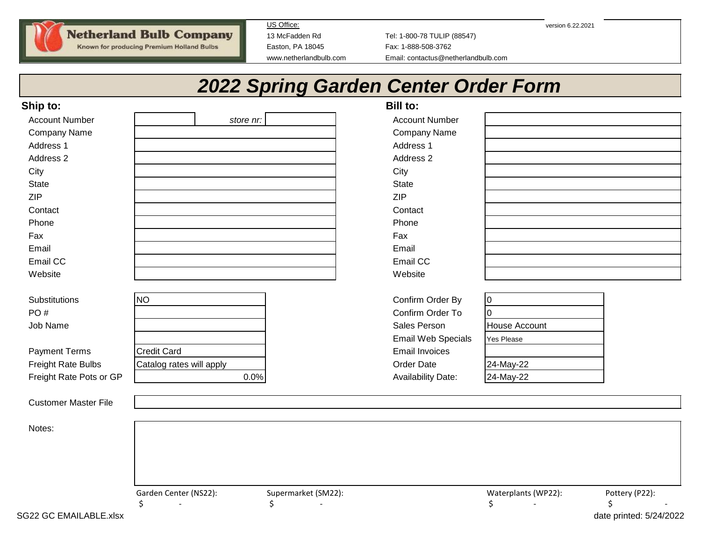**Netherland Bulb Company** 

Known for producing Premium Holland Bulbs

US Office: version 6.22.2021

13 McFadden Rd Tel: 1-800-78 TULIP (88547) Easton, PA 18045 Fax: 1-888-508-3762 www.netherlandbulb.com Email: contactus@netherlandbulb.com

# *2022 Spring Garden Center Order Form*

| Ship to:                                                                                                  |                                                             |                                     | Bill to:                                                                                                                                              |                                                                                            |                                                  |
|-----------------------------------------------------------------------------------------------------------|-------------------------------------------------------------|-------------------------------------|-------------------------------------------------------------------------------------------------------------------------------------------------------|--------------------------------------------------------------------------------------------|--------------------------------------------------|
| <b>Account Number</b>                                                                                     |                                                             | store nr:                           | <b>Account Number</b>                                                                                                                                 |                                                                                            |                                                  |
| <b>Company Name</b>                                                                                       |                                                             |                                     | Company Name                                                                                                                                          |                                                                                            |                                                  |
| Address 1                                                                                                 |                                                             |                                     | Address 1                                                                                                                                             |                                                                                            |                                                  |
| Address 2                                                                                                 |                                                             |                                     | Address 2                                                                                                                                             |                                                                                            |                                                  |
| City                                                                                                      |                                                             |                                     | City                                                                                                                                                  |                                                                                            |                                                  |
| State                                                                                                     |                                                             |                                     | State                                                                                                                                                 |                                                                                            |                                                  |
| <b>ZIP</b>                                                                                                |                                                             |                                     | ZIP                                                                                                                                                   |                                                                                            |                                                  |
| Contact                                                                                                   |                                                             |                                     | Contact                                                                                                                                               |                                                                                            |                                                  |
| Phone                                                                                                     |                                                             |                                     | Phone                                                                                                                                                 |                                                                                            |                                                  |
| Fax                                                                                                       |                                                             |                                     | Fax                                                                                                                                                   |                                                                                            |                                                  |
| Email                                                                                                     |                                                             |                                     | Email                                                                                                                                                 |                                                                                            |                                                  |
| Email CC                                                                                                  |                                                             |                                     | Email CC                                                                                                                                              |                                                                                            |                                                  |
| Website                                                                                                   |                                                             |                                     | Website                                                                                                                                               |                                                                                            |                                                  |
| Substitutions<br>PO#<br>Job Name<br><b>Payment Terms</b><br>Freight Rate Bulbs<br>Freight Rate Pots or GP | <b>NO</b><br><b>Credit Card</b><br>Catalog rates will apply | 0.0%                                | Confirm Order By<br>Confirm Order To<br>Sales Person<br><b>Email Web Specials</b><br><b>Email Invoices</b><br>Order Date<br><b>Availability Date:</b> | $\overline{0}$<br>$\Omega$<br><b>House Account</b><br>Yes Please<br>24-May-22<br>24-May-22 |                                                  |
| <b>Customer Master File</b>                                                                               |                                                             |                                     |                                                                                                                                                       |                                                                                            |                                                  |
| Notes:                                                                                                    |                                                             |                                     |                                                                                                                                                       |                                                                                            |                                                  |
|                                                                                                           | Garden Center (NS22):<br>\$<br>$\sim$                       | Supermarket (SM22):<br>\$<br>$\sim$ |                                                                                                                                                       | Waterplants (WP22):<br>\$<br>$\sim$                                                        | Pottery (P22):<br>\$<br>$\overline{\phantom{a}}$ |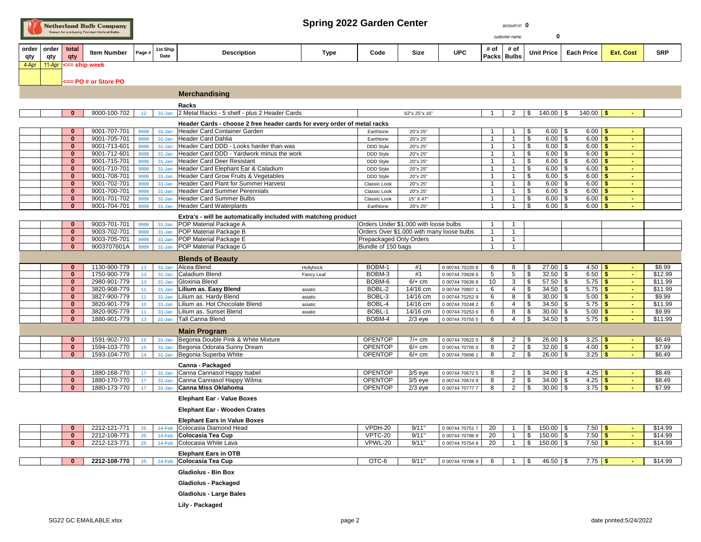| <b>Netherland Bulb Company</b>            |  |
|-------------------------------------------|--|
| Known for producing Premium Holland Bulbs |  |

## Spring 2022 Garden Center **account nr.** 0

| R            |                    |     | Spring 2022 Garden Center<br>Netherland Bulb Company<br>Known for producing Premium Holland Bulbs |        |                  |                    |             | account nr: 0<br>customer name: |      |            |                     |      |  |                         |                  |            |
|--------------|--------------------|-----|---------------------------------------------------------------------------------------------------|--------|------------------|--------------------|-------------|---------------------------------|------|------------|---------------------|------|--|-------------------------|------------------|------------|
| order<br>qty | order total<br>qty | qty | <b>Item Number</b>                                                                                | Page # | 1st Ship<br>Date | <b>Description</b> | <b>Type</b> | Code                            | Size | <b>UPC</b> | # of<br>Packs Bulbs | # of |  | Unit Price   Each Price | <b>Ext. Cost</b> | <b>SRP</b> |

**<== PO # or Store PO**

**4-Apr 11-Apr <== ship week** 

|                                                                |                                                       |            | <b>Merchandising</b>                                                     |                    |                                           |                      |                                    |                |                |                          |                          |                        |                  |                   |
|----------------------------------------------------------------|-------------------------------------------------------|------------|--------------------------------------------------------------------------|--------------------|-------------------------------------------|----------------------|------------------------------------|----------------|----------------|--------------------------|--------------------------|------------------------|------------------|-------------------|
|                                                                |                                                       |            | Racks                                                                    |                    |                                           |                      |                                    |                |                |                          |                          |                        |                  |                   |
| $\bf{0}$                                                       | 9000-100-702<br>12 <sup>7</sup>                       |            | 31-Jan 2 Metal Racks - 5 shelf - plus 2 Header Cards                     |                    |                                           | 62"x 25"x 16"        |                                    | $\mathbf{1}$   | $\overline{2}$ | \$                       | $140.00$ \ \$            | 140.00   \$            |                  |                   |
|                                                                |                                                       |            | Header Cards - choose 2 free header cards for every order of metal racks |                    |                                           |                      |                                    |                |                |                          |                          |                        |                  |                   |
| $\bf{0}$                                                       | 9001-707-701<br>9999                                  | $31 - Jan$ | Header Card Container Garden                                             |                    | Earthtone                                 | 20"x 25"             |                                    | $\mathbf{1}$   |                | \$                       | $6.00$ \$                | $6.00$ \$              | $\sim$           |                   |
| $\bf{0}$                                                       | 9001-705-701<br>9999                                  | $31 - Jan$ | Header Card Dahlia                                                       |                    | Earthtone                                 | 20"x 25"             |                                    | $\overline{1}$ |                | \$                       | $6.00$ \$                | 6.00<br>\$             | $\sim$           |                   |
| $\bf{0}$                                                       | 9001-713-601<br>9999                                  | $31 - Jan$ | Header Card DDD - Looks harder than was                                  |                    | <b>DDD Style</b>                          | 20"x 25"             |                                    | $\overline{1}$ |                | \$                       | $6.00$ \ \$              | $6.00$ \$              | $\omega$         |                   |
| $\bf{0}$                                                       | 9001-712-601<br>9999                                  | $31 - Jan$ | Header Card DDD - Yardwork minus the work                                |                    | DDD Style                                 | 20"x 25"             |                                    | $\mathbf{1}$   | $\mathbf 1$    | \$                       | $6.00$ \$                | 6.00<br>\$             | $\sim$           |                   |
| $\bf{0}$                                                       | 9001-715-701<br>9999                                  | $31 - Jan$ | Header Card Deer Resistant                                               |                    | DDD Style                                 | 20"x 25"             |                                    | $\mathbf{1}$   |                | \$                       | $6.00$ \$                | $6.00$ \$              | $\sim$           |                   |
| $\bf{0}$                                                       | 9001-710-701<br>9999                                  | 31-Jan     | Header Card Elephant Ear & Caladium                                      |                    | <b>DDD Style</b>                          | 20"x 25"             |                                    | $\mathbf{1}$   |                | \$                       | $6.00$ \ \$              | 6.00<br>-\$            | $\sim$           |                   |
| $\bf{0}$                                                       | 9001-708-701<br>9999                                  | $31 - Jan$ | Header Card Grow Fruits & Vegetables                                     |                    | DDD Style                                 | 20"x 25"             |                                    | $\mathbf{1}$   | $\overline{1}$ | \$                       | $6.00$ \ \$              | 6.00<br>$\sqrt{5}$     | $\sim$           |                   |
| $\bf{0}$                                                       | 9001-702-701<br>9999                                  | $31 - Jan$ | Header Card Plant for Summer Harvest                                     |                    | Classic Look                              | 20"x 25"             |                                    | $\mathbf{1}$   | $\overline{1}$ | \$                       | $6.00$ \ \$              | $6.00$ \$              | $\sim$           |                   |
| $\bf{0}$                                                       | 9001-700-701<br>9999                                  | 31-Jan     | Header Card Summer Perennials                                            |                    | Classic Look                              | 20"x 25"             |                                    | $\mathbf{1}$   | $\overline{1}$ | \$                       | $6.00$ \$                | 6.00<br>\$             | $\sim$           |                   |
| $\bf{0}$                                                       | 9001-701-702<br>9999                                  | $31 - Jan$ | Header Card Summer Bulbs                                                 |                    | Classic Look                              | 15" X 47"            |                                    | $\mathbf{1}$   |                | \$<br>\$                 | $6.00$ \ \$              | 6.00<br>-\$            | $\sim$           |                   |
| $\bf{0}$                                                       | 9001-704-701<br>9999                                  |            | 31-Jan Header Card Waterplants                                           |                    | Earthtone                                 | 20"x 25"             |                                    | $\mathbf{1}$   | -1             |                          | $6.00$ \ \$              | $6.00$ \$              | $\sim$           |                   |
| Extra's - will be automatically included with matching product |                                                       |            |                                                                          |                    |                                           |                      |                                    |                |                |                          |                          |                        |                  |                   |
| $\bf{0}$                                                       | 9003-701-701<br>9999                                  |            | 31-Jan POP Material Package A                                            |                    | Orders Under \$1,000 with loose bulbs     |                      |                                    | $\mathbf{1}$   | $\mathbf{1}$   |                          |                          |                        |                  |                   |
| $\bf{0}$                                                       | 9003-702-701<br>9999                                  |            | 31-Jan POP Material Package B                                            |                    | Orders Over \$1,000 with many loose bulbs |                      |                                    | $\mathbf{1}$   | $\overline{1}$ |                          |                          |                        |                  |                   |
| $\bf{0}$                                                       | 9003-705-701<br>9999                                  |            | 31-Jan POP Material Package E                                            |                    | Prepackaged Only Orders                   |                      |                                    | $\overline{1}$ | $\overline{1}$ |                          |                          |                        |                  |                   |
| $\bf{0}$                                                       | 9003707601A<br>9999                                   |            | 31-Jan POP Material Package G                                            |                    | Bundle of 150 bags                        |                      |                                    | $\mathbf{1}$   | $\mathbf{1}$   |                          |                          |                        |                  |                   |
|                                                                |                                                       |            | <b>Blends of Beauty</b>                                                  |                    |                                           |                      |                                    |                |                |                          |                          |                        |                  |                   |
| $\mathbf{0}$                                                   | 1130-900-779<br>13                                    | $31 - Jan$ | Alcea Blend                                                              | Hollyhock          | BOBM-1                                    | #1                   | 0 00744 70220 8                    | 6              | 8              | \$                       | $27.00$ \$               | $4.50$ \$              | $\sim$           | \$8.99            |
| $\mathbf{0}$                                                   | 1750-900-779<br>13                                    | $31 - Jan$ | Caladium Blend                                                           | Fancy Leaf         | BOBM-3                                    | #1                   | 0 00744 70828 6                    | 5              | $\overline{5}$ | $\overline{\mathcal{F}}$ | $32.50$ \$               | $6.50$ \$              | $\sim$           | \$12.99           |
| $\bf{0}$                                                       | 2980-901-779<br>13                                    | $31 - Jan$ | Gloxinia Blend                                                           |                    | BOBM-6                                    | $6/+$ cm             | 0 00744 70639 8                    | 10             | 3              | \$                       | $57.50$ \$               | $5.75$ \$              | $\sim$           | \$11.99           |
| $\bf{0}$                                                       | 3820-908-779<br>11                                    | $31 - Jan$ | Lilium as. Easy Blend                                                    | asiatic            | BOBL-2                                    | 14/16 cm             | 0 00744 70807 1                    | 6              | $\overline{4}$ | \$                       | $34.50$ \$               | $5.75$ \$              | $\sim$           | \$11.99           |
| $\Omega$                                                       | 3827-900-779<br>11                                    |            | 31-Jan Lilium as. Hardy Blend                                            | asiatic            | BOBL-3                                    | 14/16 cm             | 0 00744 70252 9                    | 6              | 8              | $\overline{\mathbf{3}}$  | $30.00$ \$               | $5.00$ \$              | $\sim$           | \$9.99            |
| $\bf{0}$<br>$\bf{0}$                                           | 3820-901-779<br>10 <sub>1</sub><br>3820-905-779<br>11 | $31 - Jan$ | Lilium as. Hot Chocolate Blend<br>31-Jan Lilium as. Sunset Blend         | asiatic<br>asiatic | BOBL-4<br>BOBL-1                          | 14/16 cm<br>14/16 cm | 0 00744 70248 2<br>0 00744 70253 6 | 6<br>6         | 4<br>8         | \$<br>\$                 | $34.50$ \$<br>$30.00$ \$ | $5.75$ \$<br>$5.00$ \$ | $\sim$<br>$\sim$ | \$11.99<br>\$9.99 |
| $\bf{0}$                                                       | 1880-901-779<br>13                                    |            | 31-Jan   Tall Canna Blend                                                |                    | BOBM-4                                    | $2/3$ eye            | 0 00744 70755 5                    | 6              | $\overline{4}$ | \$                       | $34.50$ \$               | $5.75$ \$              |                  | \$11.99           |
|                                                                |                                                       |            |                                                                          |                    |                                           |                      |                                    |                |                |                          |                          |                        |                  |                   |
|                                                                |                                                       |            | <b>Main Program</b>                                                      |                    |                                           |                      |                                    |                |                |                          |                          |                        |                  |                   |
| $\bf{0}$                                                       | 1591-902-770<br>15                                    | $31 - Jan$ | Begonia Double Pink & White Mixture                                      |                    | <b>OPENTOP</b>                            | $7/+$ cm             | 0 00744 70622 0                    | 8              | $\overline{2}$ | \$                       | $26.00$ \$               | $3.25$ \$              | $\sim$           | \$6.49            |
| $\bf{0}$                                                       | 1594-103-770<br>15                                    | $31 - Jan$ | Begonia Odorata Sunny Dream                                              |                    | <b>OPENTOP</b>                            | $6/+$ cm             | 0 00744 70705 0                    | 8              | $\overline{2}$ | \$                       | $32.00$ \ \$             | $4.00$ \$              | $\sim$           | \$7.99            |
| $\bf{0}$                                                       | 1593-104-770<br>14                                    |            | 31-Jan Begonia Superba White                                             |                    | <b>OPENTOP</b>                            | $6/+$ cm             | 0 00744 70696 1                    | 8              | $\overline{2}$ | $\overline{\mathcal{S}}$ | $26.00$ \$               | $3.25$ \$              | $\sim$           | \$6.49            |
|                                                                |                                                       |            | Canna - Packaged                                                         |                    |                                           |                      |                                    |                |                |                          |                          |                        |                  |                   |
| $\bf{0}$                                                       | 1880-168-770<br>17                                    |            | 31-Jan Canna Cannasol Happy Isabel                                       |                    | <b>OPENTOP</b>                            | $3/5$ eye            | 0 00744 70672 5                    | 8              | $\overline{2}$ | \$                       | $34.00$ \$               | $4.25$ \$              |                  | \$8.49            |
| $\bf{0}$                                                       | 1880-170-770<br>17                                    | $31 - Jan$ | Canna Cannasol Happy Wilma                                               |                    | <b>OPENTOP</b>                            | $3/5$ eye            | 0 00744 70674 9                    | 8              | $\overline{2}$ | $\overline{\mathcal{S}}$ | $34.00$ \\$              | $4.25$ \$              | $\sim$           | \$8.49            |
| $\bf{0}$                                                       | 1880-173-770<br>17 <sup>2</sup>                       |            | 31-Jan Canna Miss Oklahoma                                               |                    | <b>OPENTOP</b>                            | $2/3$ eye            | 0 00744 70777 7                    | 8              | $\overline{2}$ | \$                       | $30.00$ \$               | $3.75$ \$              |                  | \$7.99            |
|                                                                |                                                       |            | <b>Elephant Ear - Value Boxes</b>                                        |                    |                                           |                      |                                    |                |                |                          |                          |                        |                  |                   |
|                                                                |                                                       |            | <b>Elephant Ear - Wooden Crates</b>                                      |                    |                                           |                      |                                    |                |                |                          |                          |                        |                  |                   |
|                                                                |                                                       |            | <b>Elephant Ears in Value Boxes</b>                                      |                    |                                           |                      |                                    |                |                |                          |                          |                        |                  |                   |
| $\bf{0}$                                                       | 2212-121-771<br>25                                    | 14-Feb     | Colocasia Diamond Head                                                   |                    | VPDH-20                                   | 9/11"                | 0 00744 70751 7                    | 20             | $\mathbf 1$    | \$                       | $150.00$ \ \$            | $7.50$ \$              | $\sim$           | \$14.99           |
| $\bf{0}$                                                       | 2212-108-771<br>25                                    | 14-Feb     | Colocasia Tea Cup                                                        |                    | VPTC-20                                   | 9/11"                | 0 00744 70786 9                    | 20             | $\mathbf 1$    | \$                       | $150.00$   \$            | $7.50$ \$              | $\sim$           | \$14.99           |
| $\bf{0}$                                                       | 2212-123-771<br>25                                    | 14-Feb     | Colocasia White Lava                                                     |                    | VPWL-20                                   | 9/11"                | 0 00744 70754 8                    | 20             | $\overline{1}$ | \$                       | $150.00$ \ \$            | $7.50$ \$              | $\sim$           | \$14.99           |
|                                                                |                                                       |            | <b>Elephant Ears in OTB</b>                                              |                    |                                           |                      |                                    |                |                |                          |                          |                        |                  |                   |
| $\bf{0}$                                                       | 2212-108-770<br>25                                    |            | 14-Feb Colocasia Tea Cup                                                 |                    | OTC-6                                     | 9/11"                | 0 00744 70786 9                    | 6              | -1             | -\$                      | $46.50$ \ \$             | $7.75$ \$              |                  | \$14.99           |
|                                                                |                                                       |            | <b>Gladiolus - Bin Box</b>                                               |                    |                                           |                      |                                    |                |                |                          |                          |                        |                  |                   |
|                                                                |                                                       |            | Gladiolus - Packaged                                                     |                    |                                           |                      |                                    |                |                |                          |                          |                        |                  |                   |
|                                                                |                                                       |            | <b>Gladiolus - Large Bales</b>                                           |                    |                                           |                      |                                    |                |                |                          |                          |                        |                  |                   |
|                                                                |                                                       |            | Lily - Packaged                                                          |                    |                                           |                      |                                    |                |                |                          |                          |                        |                  |                   |
|                                                                |                                                       |            |                                                                          |                    |                                           |                      |                                    |                |                |                          |                          |                        |                  |                   |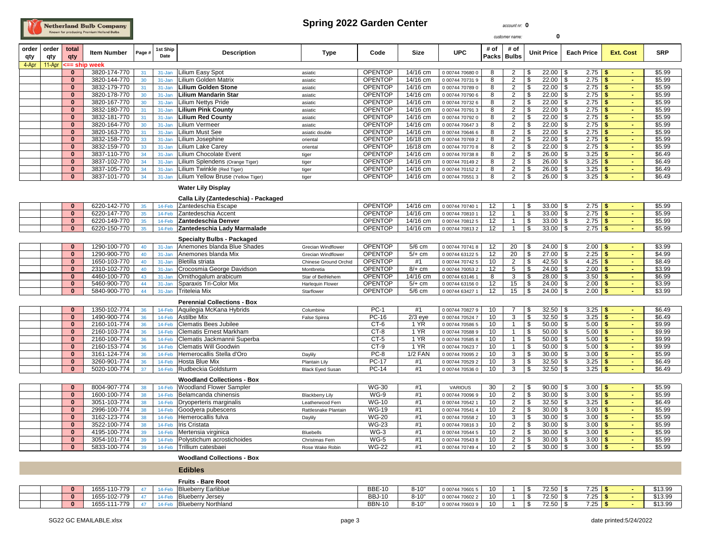# Netherland Bulb Company

#### Spring 2022 Garden Center **account nr:** 0

| $\Omega$<br>customer name: |                            |                          |                              |                 |                  |                                                                   |                            |                                  |                      |                                    |                   |                                  |                                        |                        |                  |                  |
|----------------------------|----------------------------|--------------------------|------------------------------|-----------------|------------------|-------------------------------------------------------------------|----------------------------|----------------------------------|----------------------|------------------------------------|-------------------|----------------------------------|----------------------------------------|------------------------|------------------|------------------|
| order<br>qty               | order<br>qty               | total<br>qty             | <b>Item Number</b>           | Page #          | 1st Ship<br>Date | <b>Description</b>                                                | <b>Type</b>                | Code                             | <b>Size</b>          | <b>UPC</b>                         | # of<br>Packs     | # of<br><b>Bulbs</b>             | <b>Unit Price</b>                      | <b>Each Price</b>      | <b>Ext. Cost</b> | <b>SRP</b>       |
| 4-Apr                      | 11-Apr                     | == shi                   | week                         |                 |                  |                                                                   |                            |                                  |                      |                                    |                   |                                  |                                        |                        |                  |                  |
|                            |                            | $\mathbf{0}$             | 3820-174-770                 | 31              | 31-Jan           | Lilium Easy Spot                                                  | asiatic                    | <b>OPENTOP</b>                   | 14/16 cm             | 0 00744 70680 0                    | 8                 | $\overline{2}$                   | $22.00$ \$<br>S.                       | $2.75$ \$              |                  | \$5.99           |
|                            |                            | $\mathbf{0}$             | 3820-144-770                 | 30              | 31-Jan           | Lilium Golden Matrix                                              | asiatic                    | <b>OPENTOP</b>                   | 14/16 cm             | 0 00744 70731 9                    | 8                 | $\overline{2}$                   | \$                                     | $2.75$ \$              | $\sim$           | \$5.99           |
|                            |                            | $\mathbf{0}$             | 3832-179-770                 | 31              | 31-Jan           | Lilium Golden Stone                                               | asiatic                    | <b>OPENTOP</b>                   | 14/16 cm             | 0 00744 70789 0                    | 8                 | $\overline{2}$                   | \$<br>$22.00$ \ \$                     | 2.75                   | -\$              | \$5.99           |
|                            |                            | $\bf{0}$                 | 3820-178-770                 | 30              | 31-Jan           | Lilium Mandarin Star                                              | asiatic                    | <b>OPENTOP</b>                   | 14/16 cm             | 0 00744 70790 6                    | 8                 | $\overline{2}$                   | \$<br>$22.00$ \$                       | $2.75$ \$              | $\sim$           | \$5.99           |
|                            |                            | $\mathbf{0}$             | 3820-167-770                 | 30 <sub>o</sub> | 31-Jan           | Lilium Nettys Pride                                               | asiatic                    | <b>OPENTOP</b>                   | 14/16 cm             | 0 00744 70732 6                    | 8                 | $\overline{2}$                   | \$<br>$22.00$ \$                       | $2.75$ \$              |                  | \$5.99           |
|                            |                            | $\mathbf{0}$<br>$\bf{0}$ | 3832-180-770                 | 31              | 31-Jan           | Lilium Pink County<br><b>Lilium Red County</b>                    | asiatic                    | <b>OPENTOP</b>                   | 14/16 cm             | 0 00744 70791 3                    | 8                 | $\overline{2}$<br>$\overline{2}$ | $22.00$ \ \$<br>\$<br>\$               | $2.75$ \$              | $\sim$<br>$\sim$ | \$5.99<br>\$5.99 |
|                            |                            | $\mathbf{0}$             | 3832-181-770                 | 31<br>30        | 31-Jan           | Lilium Vermeer                                                    | asiatic                    | <b>OPENTOP</b><br><b>OPENTOP</b> | 14/16 cm             | 0 00744 70792 0                    | 8<br>8            | $\overline{2}$                   | $22.00$ \$<br>\$                       | 2.75                   | -\$<br>$\sim$    | \$5.99           |
|                            |                            | $\bf{0}$                 | 3820-164-770<br>3820-163-770 | 31              | 31-Jan<br>31-Jan | Lilium Must See                                                   | asiatic                    | <b>OPENTOP</b>                   | 14/16 cm<br>14/16 cm | 0 00744 70647 3                    | 8                 | $\overline{2}$                   | $22.00$ \$<br>\$                       | $2.75$ \$<br>$2.75$ \$ |                  | \$5.99           |
|                            |                            | $\mathbf{0}$             | 3832-158-770                 | 33              | 31-Jan           | Lilium Josephine                                                  | asiatic double<br>oriental | <b>OPENTOP</b>                   | 16/18 cm             | 0 00744 70646 6<br>0 00744 70769 2 | 8                 | $\overline{2}$                   | \$<br>$22.00$ \ \$                     | $2.75$ \$              | $\blacksquare$   | \$5.99           |
|                            |                            | $\bf{0}$                 | 3832-159-770                 | 33              | 31-Jan           | Lilium Lake Carey                                                 | oriental                   | <b>OPENTOP</b>                   | 16/18 cm             | 0 00744 70770 8                    | 8                 | $\overline{2}$                   | $22.00$ \$<br>S.                       | $2.75$ \$              |                  | \$5.99           |
|                            |                            | $\mathbf{0}$             | 3837-110-770                 | 34              | 31-Jan           | Lilium Chocolate Event                                            | tiger                      | <b>OPENTOP</b>                   | 14/16 cm             | 0 00744 70738 8                    | 8                 | $\overline{2}$                   | \$<br>$26.00$ \ \$                     | $3.25$ \$              | $\sim$           | \$6.49           |
|                            |                            | $\bf{0}$                 | 3837-102-770                 | 34              | 31-Jan           | Lilium Splendens (Orange Tiger)                                   | tiger                      | <b>OPENTOP</b>                   | 14/16 cm             | 0 00744 70149 2                    | 8                 | $\overline{2}$                   | \$<br>$26.00$ \$                       | $3.25$ \$              |                  | \$6.49           |
|                            |                            | $\mathbf{0}$             | 3837-105-770                 | 34              | 31-Jan           | Lilium Twinkle (Red Tiger)                                        | tiger                      | <b>OPENTOP</b>                   | 14/16 cm             | 0 00744 70152 2                    | 8                 | $\overline{2}$                   | S.<br>$26.00$ \ \$                     | $3.25$ \$              | $\sim$           | \$6.49           |
|                            |                            | $\mathbf{0}$             | 3837-101-770                 | 34              | 31-Jan           | Lilium Yellow Bruse (Yellow Tiger)                                | tiger                      | <b>OPENTOP</b>                   | 14/16 cm             | 0 00744 70551 3                    | 8                 | $\overline{2}$                   | \$<br>26.00                            | l \$<br>$3.25$ \$      |                  | \$6.49           |
|                            |                            |                          |                              |                 |                  |                                                                   |                            |                                  |                      |                                    |                   |                                  |                                        |                        |                  |                  |
|                            |                            |                          |                              |                 |                  | <b>Water Lily Display</b><br>Calla Lily (Zantedeschia) - Packaged |                            |                                  |                      |                                    |                   |                                  |                                        |                        |                  |                  |
|                            |                            | $\bf{0}$                 | 6220-142-770                 | 35              | 14-Feb           | Zantedeschia Escape                                               |                            | <b>OPENTOP</b>                   | 14/16 cm             | 0 00744 70740 1                    | 12                |                                  | $33.00$ \ \$<br>\$                     | $2.75$ \$              | $\blacksquare$   | \$5.99           |
|                            |                            | $\overline{0}$           | 6220-147-770                 | 35              | 14-Feb           | Zantedeschia Accent                                               |                            | <b>OPENTOP</b>                   | 14/16 cm             | 0 00744 70810 1                    | 12                | $\overline{1}$                   | $33.00$ \$<br>S.                       | 2.75                   | l \$<br>$\sim$   | \$5.99           |
|                            |                            | $\mathbf{0}$             | 6220-149-770                 | 35              | 14-Feb           | Zantedeschia Denver                                               |                            | <b>OPENTOP</b>                   | 14/16 cm             | 0 00744 70812 5                    | 12                | -1                               | \$<br>$33.00$ \ \$                     | $2.75$ \$              | $\sim$           | \$5.99           |
|                            |                            | $\bf{0}$                 | 6220-150-770                 | 35              | 14-Feb           | Zantedeschia Lady Marmalade                                       |                            | <b>OPENTOP</b>                   | 14/16 cm             | 0 00744 70813 2                    | 12                | $\mathbf{1}$                     | \$<br>$33.00$ \$                       | $2.75$ \$              |                  | \$5.99           |
|                            | Specialty Bulbs - Packaged |                          |                              |                 |                  |                                                                   |                            |                                  |                      |                                    |                   |                                  |                                        |                        |                  |                  |
|                            |                            | $\Omega$                 | 1290-100-770                 | 40              | 31-Jan           | Anemones blanda Blue Shades                                       | <b>Grecian Windflower</b>  | <b>OPENTOP</b>                   | $5/6$ cm             | 0 00744 70741 8                    | 12                | 20                               | $24.00$ \$<br>\$                       | $2.00$ \$              |                  | \$3.99           |
|                            |                            | $\mathbf{0}$             | 1290-900-770                 | 40              | 31-Jan           | Anemones blanda Mix                                               | <b>Grecian Windflower</b>  | <b>OPENTOP</b>                   | $5/+$ cm             | 0 00744 63122 5                    | 12                | 20                               | $\mathfrak{s}$<br>$27.00$ \$           | $2.25$ \$              | $\sim$           | \$4.99           |
|                            |                            | $\bf{0}$                 | 1650-103-770                 | 40              | 31-Jan           | Bletilla striata                                                  | Chinese Ground Orchid      | <b>OPENTOP</b>                   | #1                   | 0 00744 70742 5                    | 10                | $\overline{2}$                   | $42.50$ \$<br>\$                       | 4.25                   | l \$<br>$\sim$   | \$8.49           |
|                            |                            | $\mathbf{0}$             | 2310-102-770                 | 40              | 31-Jan           | Crocosmia George Davidson                                         | Montbretia                 | <b>OPENTOP</b>                   | $8/+$ cm             | 0 00744 70053 2                    | 12                | 5                                | \$<br>$24.00$ \$                       | $2.00$ \$              | $\sim$           | \$3.99           |
|                            |                            | $\bf{0}$                 | 4460-100-770                 | 43              | 31-Jan           | Ornithogalum arabicum                                             | Star of Bethlehem          | <b>OPENTOP</b>                   | 14/16 cm             | 0 00744 63146 1                    | 8                 | 3                                | \$<br>$28.00$ \ \$                     | $3.50$ \$              |                  | \$6.99           |
|                            |                            | $\bf{0}$                 | 5460-900-770                 | 44              | 31-Jan           | Sparaxis Tri-Color Mix                                            | Harlequin Flower           | <b>OPENTOP</b>                   | $5/+$ cm             | 0 00744 63156 0                    | 12                | 15                               | \$<br>$24.00$ \ \$                     | $2.00$ \$              |                  | \$3.99           |
|                            |                            | $\mathbf{0}$             | 5840-900-770                 | 44              | 31-Jan           | <b>Triteleia Mix</b>                                              | Starflower                 | <b>OPENTOP</b>                   | 5/6 cm               | 0 00744 63427 .                    | $12 \overline{ }$ | 15                               | \$                                     | $2.00$ \$              | $\sim$           | \$3.99           |
|                            |                            |                          |                              |                 |                  | <b>Perennial Collections - Box</b>                                |                            |                                  |                      |                                    |                   |                                  |                                        |                        |                  |                  |
|                            |                            | $\mathbf{0}$             | 1350-102-774                 | 36              | 14-Feb           | Aquilegia McKana Hybrids                                          | Columbine                  | $PC-1$                           | #1                   | 0 00744 70827 9                    | 10                | $\overline{7}$                   | $32.50$ \$<br>S.                       | $3.25$ \$              | $\sim$           | \$6.49           |
|                            |                            | $\bf{0}$                 | 1490-900-774                 | 36              | 14-Feb           | <b>Astilbe Mix</b>                                                | False Spirea               | PC-16                            | $2/3$ eye            | 0 00744 70524 7                    | 10                | 3                                | \$<br>$32.50$ \ \$                     | 3.25                   | $\sqrt{5}$       | \$6.49           |
|                            |                            | $\mathbf{0}$             | 2160-101-774                 | 36              | 14-Feb           | <b>Clematis Bees Jubilee</b>                                      |                            | CT-6                             | 1 YR                 | 0 00744 70586 5                    | 10                | $\mathbf{1}$                     | S.<br>$50.00$   \$                     | $5.00$   \$            |                  | \$9.99           |
|                            |                            | $\mathbf{0}$             | 2160-103-774                 | 36              | 14-Feb           | <b>Clematis Ernest Markham</b>                                    |                            | CT-8                             | 1 YR                 | 0 00744 70588 9                    | 10                | $\overline{1}$                   | \$<br>$50.00$ \ \$                     | $5.00$ \$              |                  | \$9.99           |
|                            |                            | $\bf{0}$                 | 2160-100-774                 | 36              | 14-Feb           | Clematis Jackmannii Superba                                       |                            | CT-5                             | 1 YR                 | 0 00744 70585 8                    | 10                | $\mathbf{1}$                     | S.<br>$50.00$   \$                     | $5.00$   \$            | $\sim$           | \$9.99           |
|                            |                            | $\mathbf{0}$             | 2160-153-774                 | 36              | 14-Feb           | <b>Clematis Will Goodwin</b>                                      |                            | CT-9                             | 1 YR                 | 0 00744 70623 7                    | 10                | $\overline{1}$                   | \$<br>$50.00$ \ \$                     | $5.00$   \$            |                  | \$9.99           |
|                            |                            | $\mathbf{0}$             | 3161-124-774                 | 36              | 14-Feb           | Hemerocallis Stella d'Oro                                         | Daylily                    | PC-8                             | <b>1/2 FAN</b>       | 0 00744 70095 2                    | 10                | 3                                | \$<br>$30.00$ \ \$                     | $3.00$ \$              | $\sim$           | \$5.99           |
|                            |                            | $\bf{0}$                 | 3260-901-774                 | 36              | 14-Feb           | Hosta Blue Mix                                                    | <b>Plantain Lily</b>       | <b>PC-17</b>                     | #1                   | 0 00744 70529 2                    | 10                | 3                                | $\overline{\mathcal{S}}$<br>$32.50$ \$ | $3.25$ \$              |                  | \$6.49           |
|                            |                            | $\mathbf{0}$             | 5020-100-774                 | 37              | 14-Feb           | Rudbeckia Goldsturm                                               | <b>Black Eyed Susan</b>    | <b>PC-14</b>                     | #1                   | 0 00744 70536 0                    | 10                | $\mathbf{3}$                     | $32.50$ \$<br>\$                       | $3.25$ \$              | $\sim$           | \$6.49           |
|                            |                            |                          |                              |                 |                  | <b>Woodland Collections - Box</b>                                 |                            |                                  |                      |                                    |                   |                                  |                                        |                        |                  |                  |
|                            |                            | $\mathbf{0}$             | 8004-907-774                 | 38              | 14-Feb           | <b>Woodland Flower Sampler</b>                                    |                            | <b>WG-30</b>                     | #1                   | <b>VARIOUS</b>                     | 30                | $\overline{2}$                   | $90.00$ \ \$<br>\$                     | $3.00$ \$              | $\sim$           | \$5.99           |
|                            |                            | $\bf{0}$                 | 1600-100-774                 | 38              | 14-Feb           | Belamcanda chinensis                                              | <b>Blackberry Lily</b>     | $WG-9$                           | #1                   | 0 00744 70096 9                    | 10                | $\overline{2}$                   | \$<br>$30.00$ \$                       | $3.00$ \$              |                  | \$5.99           |
|                            |                            | $\bf{0}$                 | 3051-103-774                 | 38              | 14-Feb           | Dryoperteris marginalis                                           | Leatherwood Fern           | <b>WG-10</b>                     | #1                   | 0 00744 70542 1                    | 10                | $\overline{2}$                   | \$<br>$32.50$ \$                       | $3.25$ \$              | $\sim$           | \$6.49           |
|                            |                            | $\bf{0}$                 | 2996-100-774                 | 38              | 14-Feb           | Goodyera pubescens                                                | Rattlesnake Plantain       | <b>WG-19</b>                     | #1                   | 0 00744 70541 4                    | 10                | $\overline{2}$                   | $\overline{\mathcal{S}}$<br>$30.00$ \$ | $3.00$ \$              |                  | \$5.99           |
|                            |                            | $\mathbf{0}$             | 3162-123-774                 | 38              | 14-Feb           | Hemerocallis fulva                                                | Daylily                    | <b>WG-20</b>                     | #1                   | 0 00744 70558 2                    | 10                | 3                                | \$<br>$30.00$   \$                     | $3.00$ \$              | $\omega$         | \$5.99           |
|                            |                            | $\Omega$                 | 3522-100-774                 | 38              | 14-Feb           | Iris Cristata                                                     |                            | $WG-23$                          | #1                   | 0 00744 70816 3                    | 10                | $\overline{2}$                   | $30.00$ \$<br>\$                       | 3.00                   | l \$             | \$5.99           |
|                            |                            | $\mathbf{0}$             | 4195-100-774                 | 39              | 14-Feb           | Mertensia virginica                                               | <b>Bluebells</b>           | $WG-3$                           | #1                   | 0 00744 70544 5                    | 10                | $\overline{2}$                   | \$<br>$30.00$ \ \$                     | $3.00$ \$              | $\sim$           | \$5.99           |
|                            |                            | $\bf{0}$                 | 3054-101-774                 | 39              | 14-Feb           | Polystichum acrostichoides                                        | Christmas Fern             | $WG-5$                           | #1                   | 0 00744 70543 8                    | 10                | $\overline{2}$                   | \$<br>$30.00$ \ \$                     | $3.00$ \$              | $\blacksquare$   | \$5.99           |
|                            |                            | $\bf{0}$                 | 5833-100-774                 | 39              | 14-Feb           | Trillium catesbaei                                                | Rose Wake Robin            | <b>WG-22</b>                     | #1                   | 0 00744 70749 4                    | 10                | $\overline{2}$                   | \$<br>$30.00$   \$                     | $3.00$ \$              |                  | \$5.99           |
|                            |                            |                          |                              |                 |                  | <b>Woodland Collections - Box</b>                                 |                            |                                  |                      |                                    |                   |                                  |                                        |                        |                  |                  |
|                            |                            |                          |                              |                 |                  | <b>Edibles</b>                                                    |                            |                                  |                      |                                    |                   |                                  |                                        |                        |                  |                  |
|                            |                            |                          |                              |                 |                  | Fruits - Bare Root                                                |                            |                                  |                      |                                    |                   |                                  |                                        |                        |                  |                  |